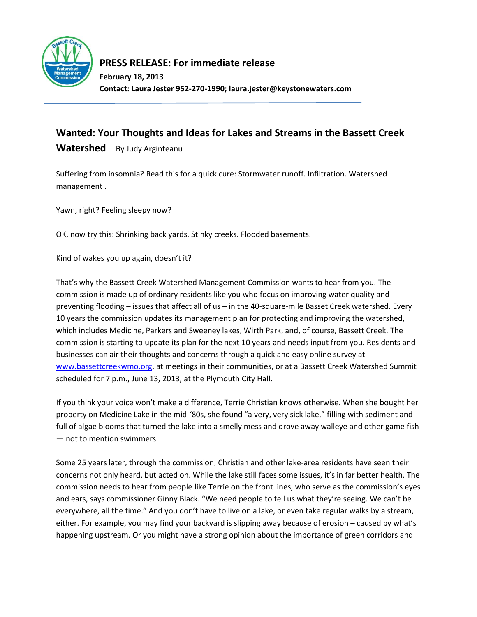

## **PRESS RELEASE: For immediate release**

**February 18, 2013 Contact: Laura Jester 952-270-1990; laura.jester@keystonewaters.com**

## **Wanted: Your Thoughts and Ideas for Lakes and Streams in the Bassett Creek**

Watershed By Judy Arginteanu

Suffering from insomnia? Read this for a quick cure: Stormwater runoff. Infiltration. Watershed management .

Yawn, right? Feeling sleepy now?

OK, now try this: Shrinking back yards. Stinky creeks. Flooded basements.

Kind of wakes you up again, doesn't it?

That's why the Bassett Creek Watershed Management Commission wants to hear from you. The commission is made up of ordinary residents like you who focus on improving water quality and preventing flooding – issues that affect all of us – in the 40-square-mile Basset Creek watershed. Every 10 years the commission updates its management plan for protecting and improving the watershed, which includes Medicine, Parkers and Sweeney lakes, Wirth Park, and, of course, Bassett Creek. The commission is starting to update its plan for the next 10 years and needs input from you. Residents and businesses can air their thoughts and concerns through a quick and easy online survey at [www.bassettcreekwmo.org,](http://www.bassettcreekwmo.org/) at meetings in their communities, or at a Bassett Creek Watershed Summit scheduled for 7 p.m., June 13, 2013, at the Plymouth City Hall.

If you think your voice won't make a difference, Terrie Christian knows otherwise. When she bought her property on Medicine Lake in the mid-'80s, she found "a very, very sick lake," filling with sediment and full of algae blooms that turned the lake into a smelly mess and drove away walleye and other game fish — not to mention swimmers.

Some 25 years later, through the commission, Christian and other lake-area residents have seen their concerns not only heard, but acted on. While the lake still faces some issues, it's in far better health. The commission needs to hear from people like Terrie on the front lines, who serve as the commission's eyes and ears, says commissioner Ginny Black. "We need people to tell us what they're seeing. We can't be everywhere, all the time." And you don't have to live on a lake, or even take regular walks by a stream, either. For example, you may find your backyard is slipping away because of erosion – caused by what's happening upstream. Or you might have a strong opinion about the importance of green corridors and